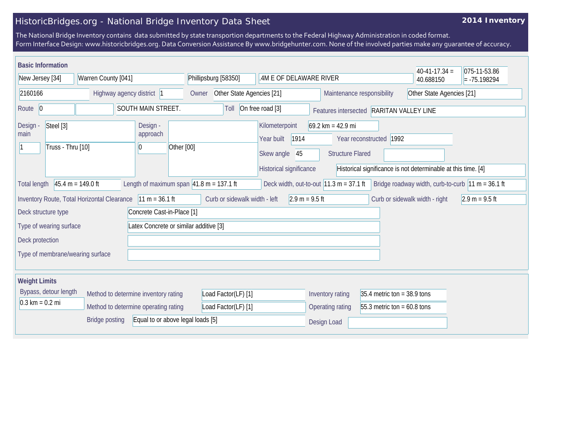## HistoricBridges.org - National Bridge Inventory Data Sheet

## **2014 Inventory**

The National Bridge Inventory contains data submitted by state transportion departments to the Federal Highway Administration in coded format. Form Interface Design: www.historicbridges.org. Data Conversion Assistance By www.bridgehunter.com. None of the involved parties make any guarantee of accuracy.

| <b>Basic Information</b>                                                                                                                                                                                                       |                                      |                                                       |                         |                                                                                     |                                                                |                               | $40-41-17.34 =$                                               | 075-11-53.86 |
|--------------------------------------------------------------------------------------------------------------------------------------------------------------------------------------------------------------------------------|--------------------------------------|-------------------------------------------------------|-------------------------|-------------------------------------------------------------------------------------|----------------------------------------------------------------|-------------------------------|---------------------------------------------------------------|--------------|
| Warren County [041]<br>New Jersey [34]                                                                                                                                                                                         |                                      | Phillipsburg [58350]                                  | .4M E OF DELAWARE RIVER |                                                                                     |                                                                | 40.688150                     | $= -75.198294$                                                |              |
| 2160166<br>Highway agency district  1                                                                                                                                                                                          |                                      | Other State Agencies [21]<br>Owner                    |                         | Other State Agencies [21]<br>Maintenance responsibility                             |                                                                |                               |                                                               |              |
| Route 0                                                                                                                                                                                                                        |                                      | SOUTH MAIN STREET.                                    | Toll                    | On free road [3]<br>Features intersected RARITAN VALLEY LINE                        |                                                                |                               |                                                               |              |
| Steel [3]<br>Design -<br>main<br>Truss - Thru [10]                                                                                                                                                                             |                                      | Design -<br>approach<br>Other [00]<br>$\vert 0 \vert$ |                         | Kilometerpoint<br>1914<br>Year built<br>Skew angle<br>45<br>Historical significance | $69.2 \text{ km} = 42.9 \text{ mi}$<br><b>Structure Flared</b> | 1992<br>Year reconstructed    | Historical significance is not determinable at this time. [4] |              |
| $45.4 m = 149.0 ft$<br>Length of maximum span $ 41.8 \text{ m} = 137.1 \text{ ft}$<br>Deck width, out-to-out $11.3 \text{ m} = 37.1 \text{ ft}$<br>Bridge roadway width, curb-to-curb $ 11 m = 36.1 ft$<br><b>Total length</b> |                                      |                                                       |                         |                                                                                     |                                                                |                               |                                                               |              |
| Inventory Route, Total Horizontal Clearance<br>$11 m = 36.1 ft$<br>Curb or sidewalk width - left<br>$2.9 m = 9.5 ft$<br>Curb or sidewalk width - right<br>$2.9 m = 9.5 ft$                                                     |                                      |                                                       |                         |                                                                                     |                                                                |                               |                                                               |              |
| Concrete Cast-in-Place [1]<br>Deck structure type                                                                                                                                                                              |                                      |                                                       |                         |                                                                                     |                                                                |                               |                                                               |              |
| Type of wearing surface<br>Latex Concrete or similar additive [3]                                                                                                                                                              |                                      |                                                       |                         |                                                                                     |                                                                |                               |                                                               |              |
| Deck protection                                                                                                                                                                                                                |                                      |                                                       |                         |                                                                                     |                                                                |                               |                                                               |              |
| Type of membrane/wearing surface                                                                                                                                                                                               |                                      |                                                       |                         |                                                                                     |                                                                |                               |                                                               |              |
| <b>Weight Limits</b>                                                                                                                                                                                                           |                                      |                                                       |                         |                                                                                     |                                                                |                               |                                                               |              |
| Bypass, detour length                                                                                                                                                                                                          | Method to determine inventory rating |                                                       | Load Factor(LF) [1]     |                                                                                     | Inventory rating                                               | 35.4 metric ton = $38.9$ tons |                                                               |              |
| $0.3 \text{ km} = 0.2 \text{ mi}$                                                                                                                                                                                              | Method to determine operating rating |                                                       | Load Factor(LF) [1]     |                                                                                     | Operating rating                                               | 55.3 metric ton = $60.8$ tons |                                                               |              |
| Equal to or above legal loads [5]<br><b>Bridge posting</b>                                                                                                                                                                     |                                      |                                                       |                         |                                                                                     | Design Load                                                    |                               |                                                               |              |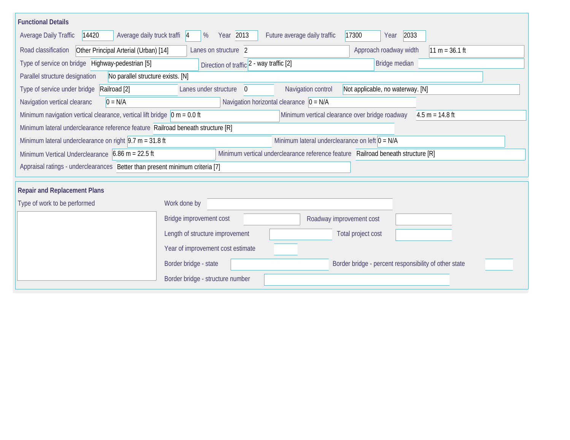| <b>Functional Details</b>                                                                                                                               |                                                                                |                                                  |       |                                  |  |  |
|---------------------------------------------------------------------------------------------------------------------------------------------------------|--------------------------------------------------------------------------------|--------------------------------------------------|-------|----------------------------------|--|--|
| Average daily truck traffi  4<br>Average Daily Traffic<br>14420                                                                                         | Year 2013<br>%                                                                 | Future average daily traffic                     | 17300 | 2033<br>Year                     |  |  |
| Other Principal Arterial (Urban) [14]<br>Road classification<br>Approach roadway width<br>$11 m = 36.1 ft$<br>Lanes on structure 2                      |                                                                                |                                                  |       |                                  |  |  |
| Type of service on bridge Highway-pedestrian [5]<br>Direction of traffic 2 - way traffic [2]<br>Bridge median                                           |                                                                                |                                                  |       |                                  |  |  |
| Parallel structure designation<br>No parallel structure exists. [N]                                                                                     |                                                                                |                                                  |       |                                  |  |  |
| Type of service under bridge<br>Railroad [2]                                                                                                            | Lanes under structure<br>$\overline{0}$                                        | Navigation control                               |       | Not applicable, no waterway. [N] |  |  |
| Navigation horizontal clearance $ 0 = N/A $<br>$0 = N/A$<br>Navigation vertical clearanc                                                                |                                                                                |                                                  |       |                                  |  |  |
| Minimum navigation vertical clearance, vertical lift bridge $\vert$ 0 m = 0.0 ft<br>Minimum vertical clearance over bridge roadway<br>$4.5 m = 14.8 ft$ |                                                                                |                                                  |       |                                  |  |  |
| Minimum lateral underclearance reference feature Railroad beneath structure [R]                                                                         |                                                                                |                                                  |       |                                  |  |  |
| Minimum lateral underclearance on right $ 9.7 \text{ m} = 31.8 \text{ ft}$                                                                              |                                                                                | Minimum lateral underclearance on left $0 = N/A$ |       |                                  |  |  |
| Minimum Vertical Underclearance 6.86 m = 22.5 ft<br>Minimum vertical underclearance reference feature Railroad beneath structure [R]                    |                                                                                |                                                  |       |                                  |  |  |
| Appraisal ratings - underclearances  Better than present minimum criteria [7]                                                                           |                                                                                |                                                  |       |                                  |  |  |
|                                                                                                                                                         |                                                                                |                                                  |       |                                  |  |  |
| <b>Repair and Replacement Plans</b>                                                                                                                     |                                                                                |                                                  |       |                                  |  |  |
| Type of work to be performed                                                                                                                            | Work done by                                                                   |                                                  |       |                                  |  |  |
|                                                                                                                                                         | Bridge improvement cost                                                        | Roadway improvement cost                         |       |                                  |  |  |
|                                                                                                                                                         | Length of structure improvement                                                |                                                  |       | Total project cost               |  |  |
|                                                                                                                                                         | Year of improvement cost estimate                                              |                                                  |       |                                  |  |  |
|                                                                                                                                                         | Border bridge - state<br>Border bridge - percent responsibility of other state |                                                  |       |                                  |  |  |
|                                                                                                                                                         | Border bridge - structure number                                               |                                                  |       |                                  |  |  |